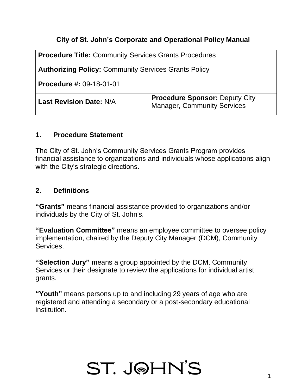#### **City of St. John's Corporate and Operational Policy Manual**

| <b>Procedure Title: Community Services Grants Procedures</b> |                                                                             |
|--------------------------------------------------------------|-----------------------------------------------------------------------------|
| <b>Authorizing Policy: Community Services Grants Policy</b>  |                                                                             |
| <b>Procedure #: 09-18-01-01</b>                              |                                                                             |
| <b>Last Revision Date: N/A</b>                               | <b>Procedure Sponsor: Deputy City</b><br><b>Manager, Community Services</b> |

#### **1. Procedure Statement**

The City of St. John's Community Services Grants Program provides financial assistance to organizations and individuals whose applications align with the City's strategic directions.

#### **2. Definitions**

**"Grants"** means financial assistance provided to organizations and/or individuals by the City of St. John's.

**"Evaluation Committee"** means an employee committee to oversee policy implementation, chaired by the Deputy City Manager (DCM), Community Services.

**"Selection Jury"** means a group appointed by the DCM, Community Services or their designate to review the applications for individual artist grants.

**"Youth"** means persons up to and including 29 years of age who are registered and attending a secondary or a post-secondary educational institution.

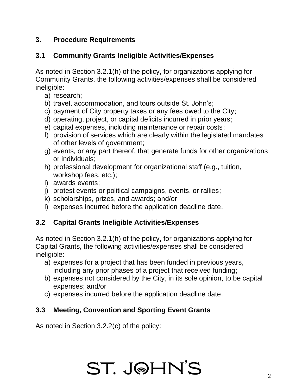## **3. Procedure Requirements**

## **3.1 Community Grants Ineligible Activities/Expenses**

As noted in Section 3.2.1(h) of the policy, for organizations applying for Community Grants, the following activities/expenses shall be considered ineligible:

- a) research;
- b) travel, accommodation, and tours outside St. John's;
- c) payment of City property taxes or any fees owed to the City;
- d) operating, project, or capital deficits incurred in prior years;
- e) capital expenses, including maintenance or repair costs;
- f) provision of services which are clearly within the legislated mandates of other levels of government;
- g) events, or any part thereof, that generate funds for other organizations or individuals;
- h) professional development for organizational staff (e.g., tuition, workshop fees, etc.);
- i) awards events;
- j) protest events or political campaigns, events, or rallies;
- k) scholarships, prizes, and awards; and/or
- l) expenses incurred before the application deadline date.

### **3.2 Capital Grants Ineligible Activities/Expenses**

As noted in Section 3.2.1(h) of the policy, for organizations applying for Capital Grants, the following activities/expenses shall be considered ineligible:

- a) expenses for a project that has been funded in previous years, including any prior phases of a project that received funding;
- b) expenses not considered by the City, in its sole opinion, to be capital expenses; and/or
- c) expenses incurred before the application deadline date.

# **3.3 Meeting, Convention and Sporting Event Grants**

As noted in Section 3.2.2(c) of the policy:

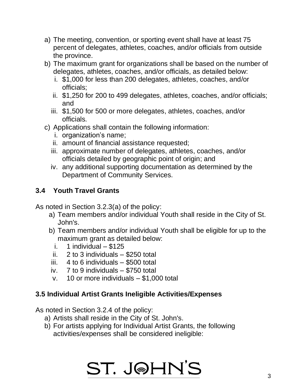- a) The meeting, convention, or sporting event shall have at least 75 percent of delegates, athletes, coaches, and/or officials from outside the province.
- b) The maximum grant for organizations shall be based on the number of delegates, athletes, coaches, and/or officials, as detailed below:
	- i. \$1,000 for less than 200 delegates, athletes, coaches, and/or officials;
	- ii. \$1,250 for 200 to 499 delegates, athletes, coaches, and/or officials; and
	- iii. \$1,500 for 500 or more delegates, athletes, coaches, and/or officials.
- c) Applications shall contain the following information:
	- i. organization's name;
	- ii. amount of financial assistance requested;
	- iii. approximate number of delegates, athletes, coaches, and/or officials detailed by geographic point of origin; and
	- iv. any additional supporting documentation as determined by the Department of Community Services.

# **3.4 Youth Travel Grants**

As noted in Section 3.2.3(a) of the policy:

- a) Team members and/or individual Youth shall reside in the City of St. John's.
- b) Team members and/or individual Youth shall be eligible for up to the maximum grant as detailed below:
	- i. 1 individual  $-$  \$125
- ii. 2 to 3 individuals \$250 total
- iii. 4 to 6 individuals \$500 total
- iv. 7 to 9 individuals \$750 total
- v. 10 or more individuals \$1,000 total

### **3.5 Individual Artist Grants Ineligible Activities/Expenses**

As noted in Section 3.2.4 of the policy:

- a) Artists shall reside in the City of St. John's.
- b) For artists applying for Individual Artist Grants, the following activities/expenses shall be considered ineligible:

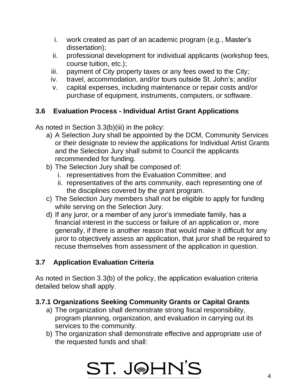- i. work created as part of an academic program (e.g., Master's dissertation);
- ii. professional development for individual applicants (workshop fees, course tuition, etc.);
- iii. payment of City property taxes or any fees owed to the City;
- iv. travel, accommodation, and/or tours outside St. John's; and/or
- v. capital expenses, including maintenance or repair costs and/or purchase of equipment, instruments, computers, or software.

# **3.6 Evaluation Process - Individual Artist Grant Applications**

As noted in Section 3.3(b)(iii) in the policy:

- a) A Selection Jury shall be appointed by the DCM, Community Services or their designate to review the applications for Individual Artist Grants and the Selection Jury shall submit to Council the applicants recommended for funding.
- b) The Selection Jury shall be composed of:
	- i. representatives from the Evaluation Committee; and
	- ii. representatives of the arts community, each representing one of the disciplines covered by the grant program.
- c) The Selection Jury members shall not be eligible to apply for funding while serving on the Selection Jury.
- d) If any juror, or a member of any juror's immediate family, has a financial interest in the success or failure of an application or, more generally, if there is another reason that would make it difficult for any juror to objectively assess an application, that juror shall be required to recuse themselves from assessment of the application in question.

### **3.7 Application Evaluation Criteria**

As noted in Section 3.3(b) of the policy, the application evaluation criteria detailed below shall apply.

### **3.7.1 Organizations Seeking Community Grants or Capital Grants**

- a) The organization shall demonstrate strong fiscal responsibility, program planning, organization, and evaluation in carrying out its services to the community.
- b) The organization shall demonstrate effective and appropriate use of the requested funds and shall:

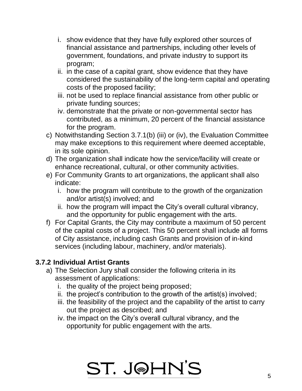- i. show evidence that they have fully explored other sources of financial assistance and partnerships, including other levels of government, foundations, and private industry to support its program;
- ii. in the case of a capital grant, show evidence that they have considered the sustainability of the long-term capital and operating costs of the proposed facility;
- iii. not be used to replace financial assistance from other public or private funding sources;
- iv. demonstrate that the private or non-governmental sector has contributed, as a minimum, 20 percent of the financial assistance for the program.
- c) Notwithstanding Section 3.7.1(b) (iii) or (iv), the Evaluation Committee may make exceptions to this requirement where deemed acceptable, in its sole opinion.
- d) The organization shall indicate how the service/facility will create or enhance recreational, cultural, or other community activities.
- e) For Community Grants to art organizations, the applicant shall also indicate:
	- i. how the program will contribute to the growth of the organization and/or artist(s) involved; and
	- ii. how the program will impact the City's overall cultural vibrancy, and the opportunity for public engagement with the arts.
- f) For Capital Grants, the City may contribute a maximum of 50 percent of the capital costs of a project. This 50 percent shall include all forms of City assistance, including cash Grants and provision of in-kind services (including labour, machinery, and/or materials).

### **3.7.2 Individual Artist Grants**

- a) The Selection Jury shall consider the following criteria in its assessment of applications:
	- i. the quality of the project being proposed;
	- ii. the project's contribution to the growth of the artist(s) involved;
	- iii. the feasibility of the project and the capability of the artist to carry out the project as described; and
	- iv. the impact on the City's overall cultural vibrancy, and the opportunity for public engagement with the arts.

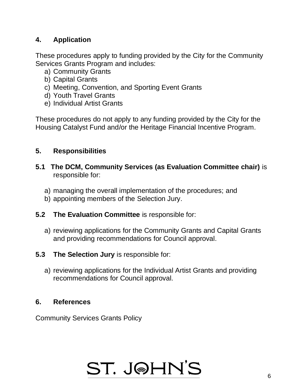## **4. Application**

These procedures apply to funding provided by the City for the Community Services Grants Program and includes:

- a) Community Grants
- b) Capital Grants
- c) Meeting, Convention, and Sporting Event Grants
- d) Youth Travel Grants
- e) Individual Artist Grants

These procedures do not apply to any funding provided by the City for the Housing Catalyst Fund and/or the Heritage Financial Incentive Program.

#### **5. Responsibilities**

- **5.1 The DCM, Community Services (as Evaluation Committee chair)** is responsible for:
	- a) managing the overall implementation of the procedures; and
	- b) appointing members of the Selection Jury.
- **5.2 The Evaluation Committee** is responsible for:
	- a) reviewing applications for the Community Grants and Capital Grants and providing recommendations for Council approval.
- **5.3 The Selection Jury** is responsible for:
	- a) reviewing applications for the Individual Artist Grants and providing recommendations for Council approval.

#### **6. References**

Community Services Grants Policy